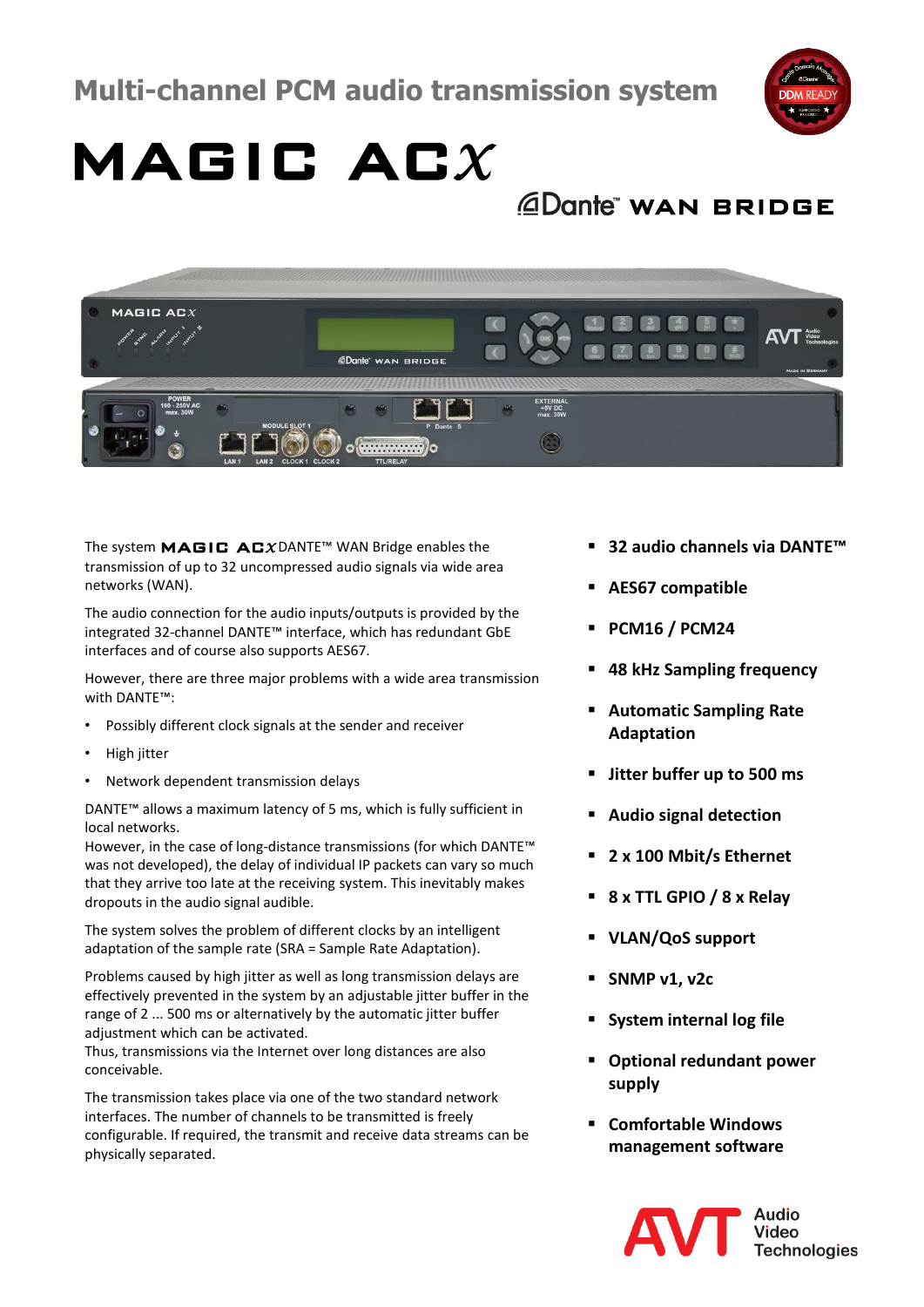

## MAGIC AC*<sup>X</sup>*

*<u>ADante</u>* WAN BRIDGE



The system MAGIC AC*<sup>X</sup>* DANTE™ WAN Bridge enables the transmission of up to 32 uncompressed audio signals via wide area networks (WAN).

The audio connection for the audio inputs/outputs is provided by the integrated 32-channel DANTE™ interface, which has redundant GbE interfaces and of course also supports AES67.

However, there are three major problems with a wide area transmission with DANTE™:

- Possibly different clock signals at the sender and receiver
- High jitter
- Network dependent transmission delays

DANTE™ allows a maximum latency of 5 ms, which is fully sufficient in local networks.

However, in the case of long-distance transmissions (for which DANTE™ was not developed), the delay of individual IP packets can vary so much that they arrive too late at the receiving system. This inevitably makes dropouts in the audio signal audible.

The system solves the problem of different clocks by an intelligent adaptation of the sample rate (SRA = Sample Rate Adaptation).

Problems caused by high jitter as well as long transmission delays are effectively prevented in the system by an adjustable jitter buffer in the range of 2 ... 500 ms or alternatively by the automatic jitter buffer adjustment which can be activated.

Thus, transmissions via the Internet over long distances are also conceivable.

The transmission takes place via one of the two standard network interfaces. The number of channels to be transmitted is freely configurable. If required, the transmit and receive data streams can be physically separated.

- **32 audio channels via DANTE™**
- **AES67 compatible**
- **PCM16 / PCM24**
- **48 kHz Sampling frequency**
- **Automatic Sampling Rate Adaptation**
- **Jitter buffer up to 500 ms**
- **Audio signal detection**
- **2 x 100 Mbit/s Ethernet**
- **8 x TTL GPIO / 8 x Relay**
- **VLAN/QoS support**
- **SNMP v1, v2c**
- **System internal log file**
- **Optional redundant power supply**
- **Comfortable Windows management software**